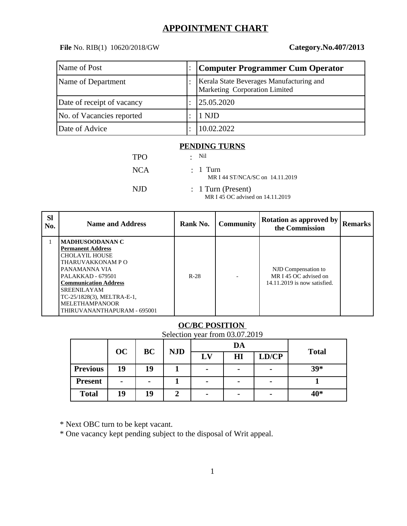## **APPOINTMENT CHART**

**File** No. RIB(1) 10620/2018/GW **Category.No.407/2013**

| Name of Post               |           | Computer Programmer Cum Operator                                          |
|----------------------------|-----------|---------------------------------------------------------------------------|
| Name of Department         |           | Kerala State Beverages Manufacturing and<br>Marketing Corporation Limited |
| Date of receipt of vacancy | $\bullet$ | 25.05.2020                                                                |
| No. of Vacancies reported  |           | 1 NJD                                                                     |
| Date of Advice             |           | 10.02.2022                                                                |

#### **PENDING TURNS**

| <b>TPO</b> | • Nil                                                    |
|------------|----------------------------------------------------------|
| NCA        | $\therefore$ 1 Turn<br>MR I 44 ST/NCA/SC on 14.11.2019   |
| NJD.       | $: 1$ Turn (Present)<br>MR I 45 OC advised on 14.11.2019 |

| <b>Sl</b><br>No. | <b>Name and Address</b>                                                                                                                                                                                                                                                            | Rank No. | <b>Community</b> | Rotation as approved by<br>the Commission                                    | Remarks |
|------------------|------------------------------------------------------------------------------------------------------------------------------------------------------------------------------------------------------------------------------------------------------------------------------------|----------|------------------|------------------------------------------------------------------------------|---------|
|                  | <b>MADHUSOODANAN C</b><br><b>Permanent Address</b><br><b>CHOLAYIL HOUSE</b><br>THARUVAKKONAM P O<br>PANAMANNA VIA<br>PALAKKAD - 679501<br><b>Communication Address</b><br><b>SREENILAYAM</b><br>TC-25/1828(3), MELTRA-E-1,<br><b>MELETHAMPANOOR</b><br>THIRUVANANTHAPURAM - 695001 | $R-28$   |                  | NJD Compensation to<br>MR I 45 OC advised on<br>14.11.2019 is now satisfied. |         |

### **OC/BC POSITION**

Selection year from 03.07.2019

|                 | OC                       | BC | <b>NJD</b> |                          | DA                       |       |              |
|-----------------|--------------------------|----|------------|--------------------------|--------------------------|-------|--------------|
|                 |                          |    |            | LV                       | H <sub>I</sub>           | LD/CP | <b>Total</b> |
| <b>Previous</b> | 19                       | 19 |            | -                        | $\overline{\phantom{0}}$ | -     | 39*          |
| <b>Present</b>  | $\overline{\phantom{0}}$ | -  |            | $\overline{\phantom{0}}$ | -                        |       |              |
| <b>Total</b>    | 19                       | 19 | רי         |                          | $\overline{\phantom{0}}$ |       | 40*          |

\* Next OBC turn to be kept vacant.

\* One vacancy kept pending subject to the disposal of Writ appeal.